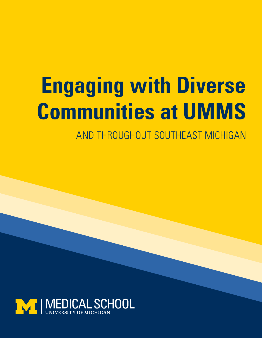# **Engaging with Diverse Communities at UMMS**

AND THROUGHOUT SOUTHEAST MICHIGAN

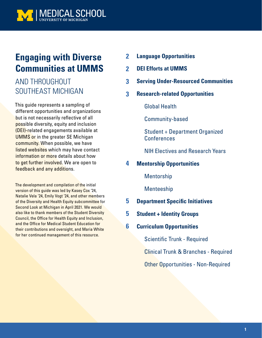

# **Engaging with Diverse Communities at UMMS**

## AND THROUGHOUT SOUTHEAST MICHIGAN

This guide represents a sampling of different opportunities and organizations but is not necessarily reflective of all possible diversity, equity and inclusion (DEI)-related engagements available at UMMS or in the greater SE Michigan community. When possible, we have listed websites which may have contact information or more details about how to get further involved. We are open to feedback and any additions.

The development and compilation of the initial version of this guide was led by Kasey Cox '24, Natalie Vela '24, Emily Vogt '24, and other members of the Diversity and Health Equity subcommittee for Second Look at Michigan in April 2021. We would also like to thank members of the Student Diversity Council, the Office for Health Equity and Inclusion, and the Office for Medical Student Education for their contributions and oversight, and Maria White for her continued management of this resource.

- **Language Opportunities 2**
- **DEI Efforts at UMMS 2**
- **Serving Under-Resourced Communities 3**
- **Research-related Opportunities 3**

Global Health

Community-based

Student + Department Organized Conferences

NIH Electives and Research Years

#### **Mentorship Opportunities 4**

Mentorship

Menteeship

- **Department Specific Initiatives 5**
- **Student + Identity Groups 5**
- **Curriculum Opportunities 6**

Scientific Trunk - Required

Clinical Trunk & Branches - Required

Other Opportunities - Non-Required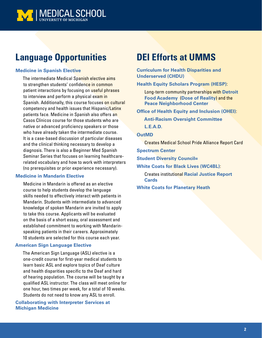

# **Language Opportunities**

### **[Medicine in Spanish Elective](https://medicine.umich.edu/dept/globalreach/news/archive/201908/students-professor-team-launch-medicine-spanish-course)**

The intermediate Medical Spanish elective aims to strengthen students' confidence in common patient interactions by focusing on useful phrases to interview and perform a physical exam in Spanish. Additionally, this course focuses on cultural competency and health issues that Hispanic/Latinx patients face. Medicine in Spanish also offers an Casos Clínicos course for those students who are native or advanced proficiency speakers or those who have already taken the intermediate course. It is a case-based discussion of particular diseases and the clinical thinking necessary to develop a diagnosis. There is also a Beginner Med Spanish Seminar Series that focuses on learning healthcarerelated vocabulary and how to work with interpreters (no prerequisites or prior experience necessary).

### **[Medicine in Mandarin Elective](https://medicine.umich.edu/medschool/profiles/md/aisling-zhao-breaking-boundaries)**

Medicine in Mandarin is offered as an elective course to help students develop the language skills needed to effectively interact with patients in Mandarin. Students with intermediate to advanced knowledge of spoken Mandarin are invited to apply to take this course. Applicants will be evaluated on the basis of a short essay, oral assessment and established commitment to working with Mandarinspeaking patients in their careers. Approximately 10 students are selected for this course each year.

### **[American Sign Language Elective](https://docs.google.com/forms/d/e/1FAIpQLSfe-mW6EAOBxUbLxHlrReVqsO_AjdeAIVFmnl2TKVggI6j1Xw/formrestricted)**

The American Sign Language (ASL) elective is a one-credit course for first-year medical students to learn basic ASL and explore topics of Deaf culture and health disparities specific to the Deaf and hard of hearing population. The course will be taught by a qualified ASL instructor. The class will meet online for one hour, two times per week, for a total of 10 weeks. Students do not need to know any ASL to enroll.

**[Collaborating with Interpreter Services at](http://www.med.umich.edu/interpreter/)  [Michigan Medicine](http://www.med.umich.edu/interpreter/)** 

# **DEI Efforts at UMMS**

**[Curriculum for Health Disparities and](https://docs.google.com/document/d/10UnYhmgITirTqExTpVZZ9tTsXVfspSJJP0aPMXwX-h0/edit)  [Underserved \(CHDU\)](https://docs.google.com/document/d/10UnYhmgITirTqExTpVZZ9tTsXVfspSJJP0aPMXwX-h0/edit)**

**[Health Equity Scholars Program \(HESP\)](https://medicine.umich.edu/medschool/student-groups/health-equity-scholars-program-hesp)**:

Long-term community partnerships with **[Detroit](https://detroitfoodacademy.org/)  [Food Academy](https://detroitfoodacademy.org/)** (**[Dose of Reality](https://umdoseofreality.org/author/lnandika)**) and the **[Peace Neighborhood Center](https://peaceneighborhoodcenter.org/)**

**[Office of Health Equity and Inclusion \(OHEI\)](https://ohei.med.umich.edu/)**:

**[Anti-Racism Oversight Committee](https://ohei.med.umich.edu/anti-racism-oversight-committee) [L.E.A.D.](https://ohei.med.umich.edu/educational-programs/leadership-and-enrichment-academic-diversity)**

#### **[OutMD](https://medicine.umich.edu/medschool/student-groups/outmd)**

Creates Medical School Pride Alliance Report Card

**[Spectrum Center](https://spectrumcenter.umich.edu/)**

**[Student Diversity Council](https://sites.google.com/umich.edu/studentdiversitycouncil/home?authuser=1&pli=1)=**

**[White Coats for Black Lives \(WC4BL\)](https://whitecoats4blacklives.org/about/)**:

Creates institutional **[Racial Justice Report](https://whitecoats4blacklives.org/wp-content/uploads/2019/08/RJRC-2019-Full-Report-Final-8.28.19.pdf)  [Cards](https://whitecoats4blacklives.org/wp-content/uploads/2019/08/RJRC-2019-Full-Report-Final-8.28.19.pdf)**

**[White Coats for Planetary Heath](https://medicine.umich.edu/medschool/student-groups/white-coats-planetary-health-wcph#:~:text=White%20Coats%20for%20Planetary%20Health%20(WCPH)%20is%20a%20medical%20student,human%20health%20and%20planetary%20health.)**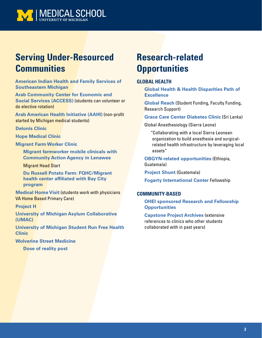

# **Serving Under-Resourced Communities**

**[American Indian Health and Family Services of](https://www.aihfs.org/)  [Southeastern Michigan](https://www.aihfs.org/)**

**[Arab Community Center for Economic and](https://www.accesscommunity.org/)  [Social Services \(ACCESS\)](https://www.accesscommunity.org/)** (students can volunteer or do elective rotation)

**[Arab American Health Initiative \(AAHI\)](http://www.the-aahi.org/)** (non-profit started by Michigan medical students)

**[Delonis Clinic](https://medicine.umich.edu/medschool/student-groups/delonis-clinic)**

**[Hope Medical Clinic](https://medicine.umich.edu/medschool/student-groups/hope-medical-clinic-student-organization)**

**[Migrant Farm Worker Clinic](https://medicine.umich.edu/medschool/profiles/faculty-md/kelly-orringer-md-reaching-out)** 

**[Migrant farmworker mobile clinicals with](https://www.caajlh.org/migrant-outreach-services)  [Community Action Agency in Lenawee](https://www.caajlh.org/migrant-outreach-services)**

Migrant Head Start

**[Du Russell Potato Farm: FQHC/Migrant](https://greatlakesbayhealthcenters.org/migrant-health-care/)  [health center affiliated with Bay City](https://greatlakesbayhealthcenters.org/migrant-health-care/)  [program](https://greatlakesbayhealthcenters.org/migrant-health-care/)** 

**[Medical Home Visit](https://www.va.gov/GERIATRICS/pages/Home_Based_Primary_Care.asp)** (students work with physicians VA Home Based Primary Care)

### **[Project H](https://medicine.umich.edu/medschool/student-groups/medstart)**

**[University of Michigan Asylum Collaborative](https://www.umasylumcollab.org/)  [\(UMAC\)](https://www.umasylumcollab.org/)**

**[University of Michigan Student Run Free Health](https://medicine.umich.edu/medschool/student-groups/university-michigan-student-run-free-clinic-umsrfc)  [Clinic](https://medicine.umich.edu/medschool/student-groups/university-michigan-student-run-free-clinic-umsrfc)** 

**[Wolverine Street Medicine](https://medicine.umich.edu/medschool/student-groups/wolverine-street-medicine)**

**[Dose of reality post](https://umdoseofreality.org/9539/wolverine-street-medicine)**

# **Research-related Opportunities**

### **GLOBAL HEALTH**

**[Global Health & Health Disparities Path of](https://medicine.umich.edu/medschool/education/md-program/curriculum/impact-curriculum/paths-excellence/global-health-disparities#:~:text=The%20GHD%20Path%20of%20Excellence,domestic%20and%20global%20health%20disparities.&text=Reforming%20Health%20Care%20Systems%20Through,Scholarship%20of%20Transformation%2C%20and)  [Excellence](https://medicine.umich.edu/medschool/education/md-program/curriculum/impact-curriculum/paths-excellence/global-health-disparities#:~:text=The%20GHD%20Path%20of%20Excellence,domestic%20and%20global%20health%20disparities.&text=Reforming%20Health%20Care%20Systems%20Through,Scholarship%20of%20Transformation%2C%20and)**

**[Global Reach](https://medicine.umich.edu/dept/globalreach)** (Student Funding, Faculty Funding, Research Support)

**[Grace Care Center Diabetes Clinic](https://medicine.umich.edu/dept/globalreach/news/archive/201905/sri-lanka-student-helps-create-diabetes-management-program)** (Sri Lanka)

Global Anesthesiology (Sierra Leone)

"Collaborating with a local Sierra Leonean organization to build anesthesia and surgicalrelated health infrastructure by leveraging local assets"

**[OBGYN-related opportunities](https://medicine.umich.edu/dept/obgyn/global-initiatives)** (Ethiopia, Guatemala)

**[Project Shunt](https://medicine.umich.edu/dept/neurosurgery/about-us/project-shunt)** (Guatemala)

**[Fogarty International Center](https://umdoseofreality.org/tag/fogarty)** Fellowship

### **COMMUNITY-BASED**

**[OHEI sponsored Research and Fellowship](https://ohei.med.umich.edu/medical-and-biomedical-student-support/research-and-fellowship-opportunities)  [Opportunities](https://ohei.med.umich.edu/medical-and-biomedical-student-support/research-and-fellowship-opportunities)**

**[Capstone Project Archives](https://cfi-umms.weebly.com/)** (extensive references to clinics who other students collaborated with in past years)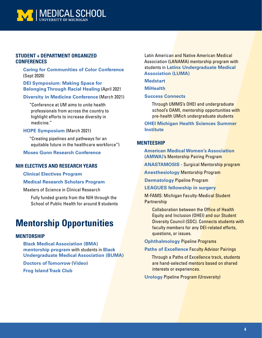

### **STUDENT + DEPARTMENT ORGANIZED CONFERENCES**

**[Caring for Communities of Color Conference](https://www.caringforhealthjustice.com/)** (Sept 2020)

**[DEI Symposium: Making Space for](https://ohei.med.umich.edu/events/dei-symposium-making-space-belonging-through-racial-healing)  [Belonging Through Racial Healing](https://ohei.med.umich.edu/events/dei-symposium-making-space-belonging-through-racial-healing)** (April 2021

**[Diversity in Medicine Conference](https://dimconference.wixsite.com/dimconference)** (March 2021)

"Conference at UM aims to unite health professionals from across the country to highlight efforts to increase diversity in medicine."

### **[HOPE Symposium](https://medicine.umich.edu/dept/surgery/events/202103/hope-symposium)** (March 2021)

"Creating pipelines and pathways for an equitable future in the healthcare workforce")

### **[Moses Gunn Research Conference](https://medicine.umich.edu/dept/surgery-research/training/moses-gunn-research-conference/about-moses-gunn)**

### **NIH ELECTIVES AND RESEARCH YEARS**

**[Clinical Electives Program](https://clinicalcenter.nih.gov/training/students/clinical_electives.html)**

### **[Medical Research Scholars Program](https://clinicalcenter.nih.gov/training/mrsp/)**

Masters of Science in Clinical Research

Fully funded grants from the NIH through the School of Public Health for around 9 students

# **Mentorship Opportunities**

### **MENTORSHIP**

**[Black Medical Association \(BMA\)](https://umdoseofreality.org/author/tndukwe)  [mentorship program](https://umdoseofreality.org/author/tndukwe)** with students in **[Black](https://sites.google.com/umich.edu/boominbuma/about-us/what-is-buma-about)  [Undergraduate Medical Association \(BUMA\)](https://sites.google.com/umich.edu/boominbuma/about-us/what-is-buma-about)**

**[Doctors of Tomorrow](https://medicine.umich.edu/medschool/student-groups/doctors-tomorrow)** (**[Video](https://www.youtube.com/watch?v=3eosmU2aIHY&list=PLNxqP-XbH8BIi6qw3spSWUyoJgQaqNOAo&index=9)**)

**[Frog Island Track Club](https://medicine.umich.edu/medschool/student-groups/frog-island-track-club)**

Latin American and Native American Medical Association (LANAMA) mentorship program with students in **[Latinx Undergraduate Medical](https://maizepages.umich.edu/organization/luma)  [Association \(LUMA\)](https://maizepages.umich.edu/organization/luma)**

**[Medstart](https://medicine.umich.edu/medschool/student-groups/medstart)**

**[MiHealth](https://medicine.umich.edu/medschool/student-groups/mihealth)**

#### **[Success Connects](https://oami.umich.edu/success-connects/)**

Through UMMS's OHEI and undergraduate school's OAMI, mentorship opportunities with pre-health UMich undergraduate students

**[OHEI Michigan Health Sciences Summer](https://ohei.med.umich.edu/educational-programs/michigan-health-sciences-summer-institute)  [Institute](https://ohei.med.umich.edu/educational-programs/michigan-health-sciences-summer-institute)**

### **MENTEESHIP**

**[American Medical Women's Association](https://medicine.umich.edu/medschool/student-groups/american-medical-womens-association-amwa)  [\(AMWA\)](https://medicine.umich.edu/medschool/student-groups/american-medical-womens-association-amwa)**'s Mentorship Pairing Program

**[ANASTAMOSIS](https://medicine.umich.edu/dept/surgery/michigan-promise/our-initiatives/achievement/anastomosis-mentoring-program)** - Surgical Mentorship program

**[Anesthesiology](https://radaranesthesia.org/)** Mentorship Program

**[Dermatology](https://medicine.umich.edu/dept/dermatology/education/residency-program/diversity-pipeline)** Pipeline Program

**[LEAGUES fellowship in surgery](https://medicine.umich.edu/dept/surgery/education/medical-student-education/leagues-fellowship)**

M-FAMS: Michigan Faculty-Medical Student **Partnership** 

Collaboration between the Office of Health Equity and Inclusion (OHEI) and our Student Diversity Council (SDC). Connects students with faculty members for any DEI-related efforts, questions, or issues.

**[Ophthalmology](https://medicine.umich.edu/dept/ophthalmology/news-publications/annual-report/2017-18-featured-stories/pipeline-greater-diversity-ophthalmology)** Pipeline Programs

**[Paths of Excellence](https://medicine.umich.edu/medschool/education/md-program/curriculum/impact-curriculum/paths-excellence)** Faculty Advisor Pairings

Through a Paths of Excellence track, students are hand-selected mentors based on shared interests or experiences.

**[Urology](https://medicine.umich.edu/dept/urology/uroversity)** Pipeline Program (Uroversity)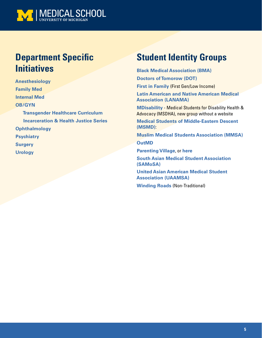

# **Department Specific Initiatives**

**[Anesthesiology](https://medicine.umich.edu/dept/anesthesiology/about-us/diversity-equity-inclusion) [Family Med](https://medicine.umich.edu/dept/family-medicine/about-us/diversity-equity-inclusion) [Internal Med](https://medicine.umich.edu/dept/intmed/diversity-equity-well-being) [OB/GYN](https://medicine.umich.edu/dept/obgyn/about-us/diversity-equity-inclusion) [Transgender Healthcare Curriculum](https://medicine.umich.edu/dept/obgyn/education/continuing-medical-education-cme/transgender-healthcare-curriculum) [Incarceration & Health Justice Series](https://medicine.umich.edu/dept/obstetrics-gynecology/events/202102/incarceration-health-lecture-reproductive-health-justice) [Ophthalmology](https://medicine.umich.edu/dept/ophthalmology/about-department/diversity-equity-inclusion-initiative) [Psychiatry](https://medicine.umich.edu/dept/psychiatry/diversity-equity-inclusion) [Surgery](https://medicine.umich.edu/dept/surgery/michigan-promise/our-initiatives/outreach-initiatives) [Urology](https://medicine.umich.edu/dept/urology/education/residency/diversity-equity-inclusion)**

# **Student Identity Groups**

**[Black Medical Association \(BMA\)](https://medicine.umich.edu/medschool/student-groups/black-medical-association-bma) [Doctors of Tomorow \(DOT\)](https://doctorsoftomorrow.med.umich.edu/) [First in Family](https://medicine.umich.edu/medschool/student-groups/first-family) (First Gen/Low Income) [Latin American and Native American Medical](https://medicine.umich.edu/medschool/student-groups/latin-american-native-american-medical-association-lanama)  [Association \(LANAMA\)](https://medicine.umich.edu/medschool/student-groups/latin-american-native-american-medical-association-lanama) [MDisability](https://medicine.umich.edu/dept/family-medicine/programs/mdisability)** - Medical Students for Disability Health & Advocacy (MSDHA), new group without a website **[Medical Students of Middle-Eastern Descent](https://medicine.umich.edu/medschool/student-groups/medical-students-middle-eastern-descent-msmd)  [\(MSMD\)](https://medicine.umich.edu/medschool/student-groups/medical-students-middle-eastern-descent-msmd)**: **[Muslim Medical Students Association \(MMSA\)](https://medicine.umich.edu/medschool/student-groups/muslim-medical-students-association-mmsa) [OutMD](https://medicine.umich.edu/medschool/student-groups/outmd) [Parenting Village](https://goblueguide.medicine.umich.edu/ann-arbor/partners-families)**, or **[here](https://medicine.umich.edu/medschool/education/md-program/our-community/students-faculty/students-families) [South Asian Medical Student Association](https://medicine.umich.edu/medschool/student-groups/south-asian-medical-student-association-samosa)  [\(SAMoSA\)](https://medicine.umich.edu/medschool/student-groups/south-asian-medical-student-association-samosa) [United Asian American Medical Student](https://medicine.umich.edu/medschool/student-groups/united-asian-american-medical-student-association-uaamsa)  [Association \(UAAMSA\)](https://medicine.umich.edu/medschool/student-groups/united-asian-american-medical-student-association-uaamsa)**

**[Winding Roads](https://medicine.umich.edu/medschool/student-groups/winding-roads)** (Non-Traditional)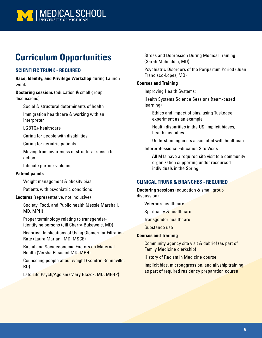

# **Curriculum Opportunities**

### **SCIENTIFIC TRUNK - REQUIRED**

**Race, Identity, and Privilege Workshop** during Launch week

**Doctoring sessions** (education & small group discussions)

Social & structural determinants of health

Immigration healthcare & working with an interpreter

LGBTQ+ healthcare

Caring for people with disabilities

Caring for geriatric patients

Moving from awareness of structural racism to action

Intimate partner violence

### **Patient panels**

Weight management & obesity bias

Patients with psychiatric conditions

**Lectures** (representative, not inclusive)

Society, Food, and Public health (Jessie Marshall, MD, MPH)

Proper terminology relating to transgenderidentifying persons (Jill Cherry-Bukewoic, MD)

Historical Implications of Using Glomerular Filtration Rate (Laura Mariani, MD, MSCE)

Racial and Socioeconomic Factors on Maternal Health (Versha Pleasant MD, MPH)

Counseling people about weight (Kendrin Sonneville, RD)

Late Life Psych/Ageism (Mary Blazek, MD, MEHP)

Stress and Depression During Medical Training (Sarah Mohuiddin, MD)

Psychiatric Disorders of the Peripartum Period (Juan Francisco-Lopez, MD)

### **Courses and Training**

Improving Health Systems:

Health Systems Science Sessions (team-based learning)

Ethics and impact of bias, using Tuskegee experiment as an example

Health disparities in the US, implicit biases, health inequities

Understanding costs associated with healthcare

Interprofessional Education Site Visits

All M1s have a required site visit to a community organization supporting under resourced individuals in the Spring

### **CLINICAL TRUNK & BRANCHES - REQUIRED**

**Doctoring sessions** (education & small group discussion)

Veteran's healthcare

- Spirituality & healthcare
- Transgender healthcare

Substance use

### **Courses and Training**

Community agency site visit & debrief (as part of Family Medicine clerkship)

History of Racism in Medicine course

Implicit bias, microaggression, and allyship training as part of required residency preparation course